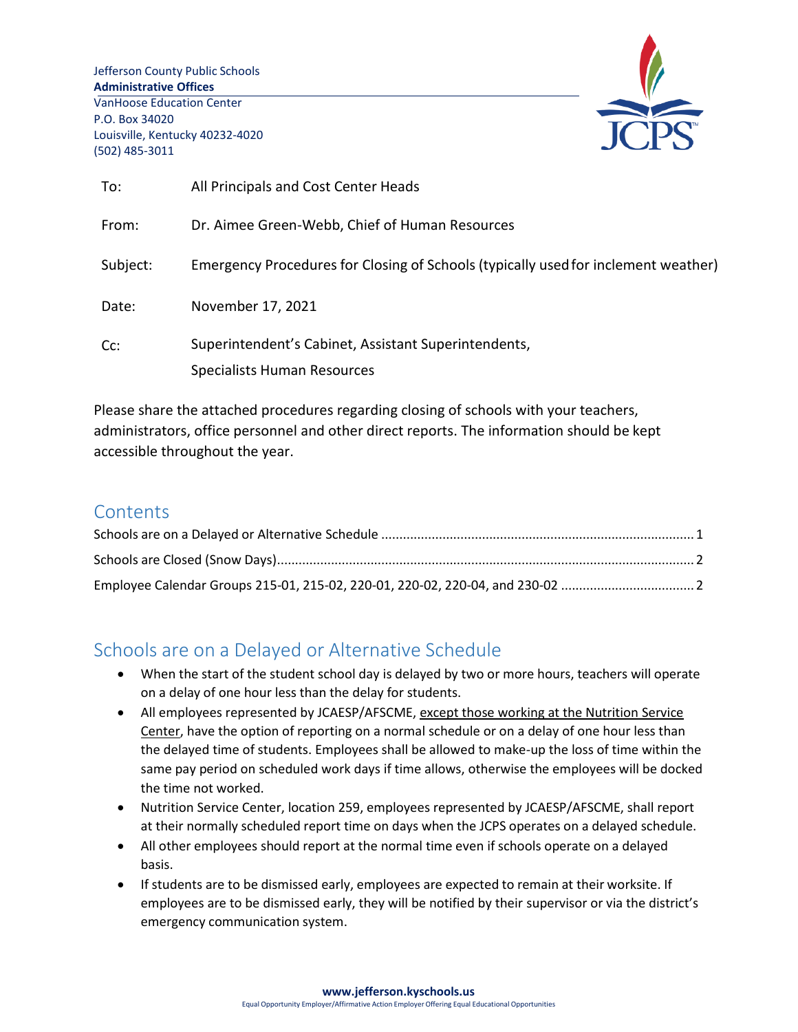Jefferson County Public Schools **Administrative Offices** VanHoose Education Center P.O. Box 34020 Louisville, Kentucky 40232-4020 (502) 485-3011



| To:      | All Principals and Cost Center Heads                                               |  |  |  |
|----------|------------------------------------------------------------------------------------|--|--|--|
| From:    | Dr. Aimee Green-Webb, Chief of Human Resources                                     |  |  |  |
| Subject: | Emergency Procedures for Closing of Schools (typically used for inclement weather) |  |  |  |
| Date:    | November 17, 2021                                                                  |  |  |  |
| Cc:      | Superintendent's Cabinet, Assistant Superintendents,                               |  |  |  |
|          | Specialists Human Resources                                                        |  |  |  |

Please share the attached procedures regarding closing of schools with your teachers, administrators, office personnel and other direct reports. The information should be kept accessible throughout the year.

### **Contents**

# <span id="page-0-0"></span>Schools are on a Delayed or Alternative Schedule

- When the start of the student school day is delayed by two or more hours, teachers will operate on a delay of one hour less than the delay for students.
- All employees represented by JCAESP/AFSCME, except those working at the Nutrition Service Center, have the option of reporting on a normal schedule or on a delay of one hour less than the delayed time of students. Employees shall be allowed to make-up the loss of time within the same pay period on scheduled work days if time allows, otherwise the employees will be docked the time not worked.
- Nutrition Service Center, location 259, employees represented by JCAESP/AFSCME, shall report at their normally scheduled report time on days when the JCPS operates on a delayed schedule.
- All other employees should report at the normal time even if schools operate on a delayed basis.
- If students are to be dismissed early, employees are expected to remain at their worksite. If employees are to be dismissed early, they will be notified by their supervisor or via the district's emergency communication system.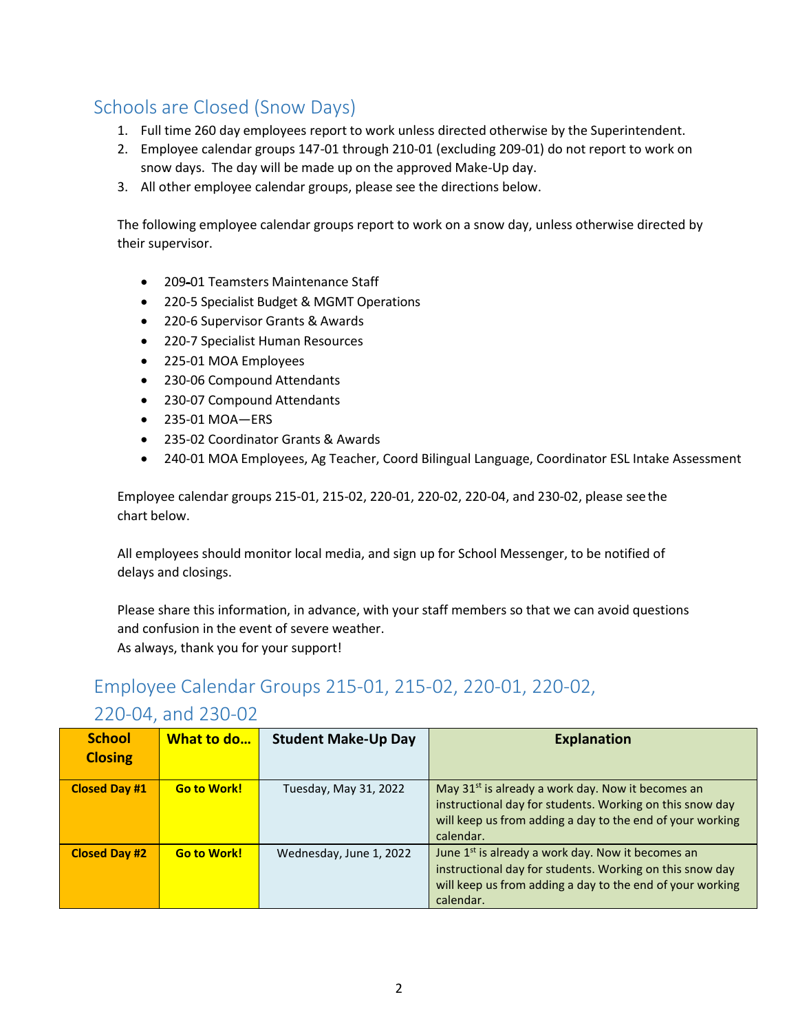# <span id="page-1-0"></span>Schools are Closed (Snow Days)

- 1. Full time 260 day employees report to work unless directed otherwise by the Superintendent.
- 2. Employee calendar groups 147-01 through 210-01 (excluding 209-01) do not report to work on snow days. The day will be made up on the approved Make-Up day.
- 3. All other employee calendar groups, please see the directions below.

The following employee calendar groups report to work on a snow day, unless otherwise directed by their supervisor.

- 209-01 Teamsters Maintenance Staff
- 220-5 Specialist Budget & MGMT Operations
- 220-6 Supervisor Grants & Awards
- 220-7 Specialist Human Resources
- 225-01 MOA Employees
- 230-06 Compound Attendants
- 230-07 Compound Attendants
- 235-01 MOA—ERS
- 235-02 Coordinator Grants & Awards
- 240-01 MOA Employees, Ag Teacher, Coord Bilingual Language, Coordinator ESL Intake Assessment

Employee calendar groups 215-01, 215-02, 220-01, 220-02, 220-04, and 230-02, please see the chart below.

All employees should monitor local media, and sign up for School Messenger, to be notified of delays and closings.

Please share this information, in advance, with your staff members so that we can avoid questions and confusion in the event of severe weather.

As always, thank you for your support!

# <span id="page-1-1"></span>Employee Calendar Groups 215-01, 215-02, 220-01, 220-02,

#### 220-04, and 230-02

| <b>School</b><br><b>Closing</b> | What to do         | <b>Student Make-Up Day</b> | <b>Explanation</b>                                                                                                                                                                                  |
|---------------------------------|--------------------|----------------------------|-----------------------------------------------------------------------------------------------------------------------------------------------------------------------------------------------------|
| <b>Closed Day #1</b>            | <b>Go to Work!</b> | Tuesday, May 31, 2022      | May 31 <sup>st</sup> is already a work day. Now it becomes an<br>instructional day for students. Working on this snow day<br>will keep us from adding a day to the end of your working<br>calendar. |
| <b>Closed Day #2</b>            | <b>Go to Work!</b> | Wednesday, June 1, 2022    | June 1 <sup>st</sup> is already a work day. Now it becomes an<br>instructional day for students. Working on this snow day<br>will keep us from adding a day to the end of your working<br>calendar. |